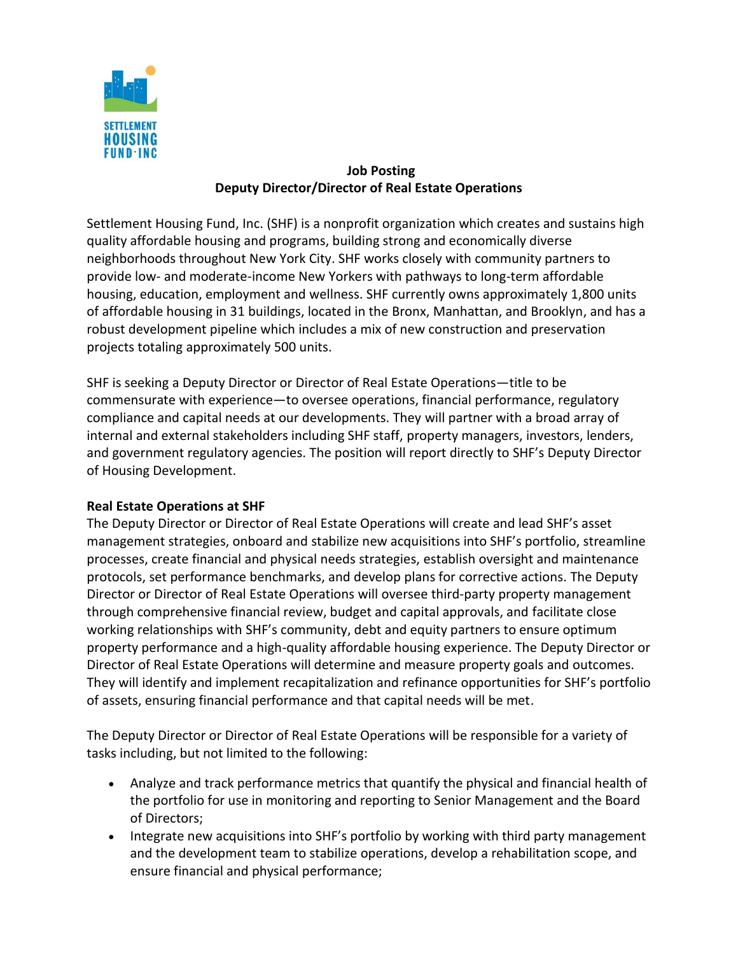

## **Job Posting Deputy Director/Director of Real Estate Operations**

Settlement Housing Fund, Inc. (SHF) is a nonprofit organization which creates and sustains high quality affordable housing and programs, building strong and economically diverse neighborhoods throughout New York City. SHF works closely with community partners to provide low- and moderate-income New Yorkers with pathways to long-term affordable housing, education, employment and wellness. SHF currently owns approximately 1,800 units of affordable housing in 31 buildings, located in the Bronx, Manhattan, and Brooklyn, and has a robust development pipeline which includes a mix of new construction and preservation projects totaling approximately 500 units.

SHF is seeking a Deputy Director or Director of Real Estate Operations—title to be commensurate with experience—to oversee operations, financial performance, regulatory compliance and capital needs at our developments. They will partner with a broad array of internal and external stakeholders including SHF staff, property managers, investors, lenders, and government regulatory agencies. The position will report directly to SHF's Deputy Director of Housing Development.

## **Real Estate Operations at SHF**

The Deputy Director or Director of Real Estate Operations will create and lead SHF's asset management strategies, onboard and stabilize new acquisitions into SHF's portfolio, streamline processes, create financial and physical needs strategies, establish oversight and maintenance protocols, set performance benchmarks, and develop plans for corrective actions. The Deputy Director or Director of Real Estate Operations will oversee third-party property management through comprehensive financial review, budget and capital approvals, and facilitate close working relationships with SHF's community, debt and equity partners to ensure optimum property performance and a high-quality affordable housing experience. The Deputy Director or Director of Real Estate Operations will determine and measure property goals and outcomes. They will identify and implement recapitalization and refinance opportunities for SHF's portfolio of assets, ensuring financial performance and that capital needs will be met.

The Deputy Director or Director of Real Estate Operations will be responsible for a variety of tasks including, but not limited to the following:

- Analyze and track performance metrics that quantify the physical and financial health of the portfolio for use in monitoring and reporting to Senior Management and the Board of Directors;
- Integrate new acquisitions into SHF's portfolio by working with third party management and the development team to stabilize operations, develop a rehabilitation scope, and ensure financial and physical performance;